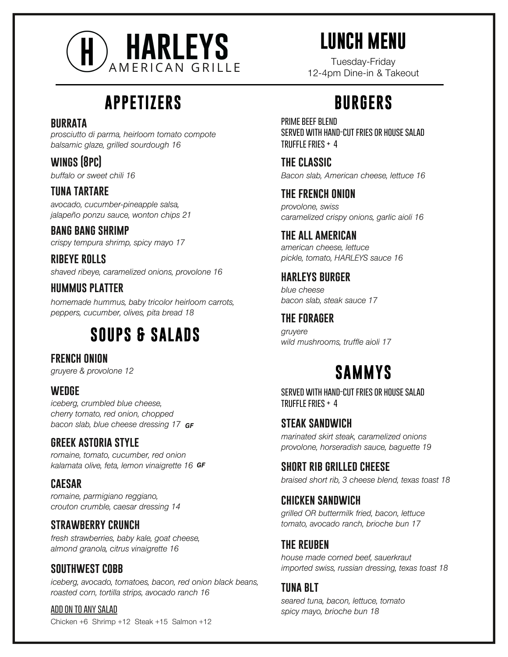

# **LUNCH MENU**

Tuesday-Friday

# **APPETIZERS**

#### **burrata**

*prosciutto di parma, heirloom tomato compote balsamic glaze, grilled sourdough 16*

*buffalo or sweet chili 16* **wings (8pc)**

#### **tuna tartare**

*avocado, cucumber-pineapple salsa, jalapeño ponzu sauce, wonton chips 21*

*crispy tempura shrimp, spicy mayo 17* **bang bang shrimp**

*shaved ribeye, caramelized onions, provolone 16* **ribeye rolls**

#### **hummus platter**

*homemade hummus, baby tricolor heirloom carrots, peppers, cucumber, olives, pita bread 18*

## **SOUPS & SALADS**

*gruyere & provolone 12* **french onion**

#### **wedge**

*iceberg, crumbled blue cheese, cherry tomato, red onion, chopped bacon slab, blue cheese dressing 17 GF*

#### **greek astoria style**

*romaine, tomato, cucumber, red onion kalamata olive, feta, lemon vinaigrette 16 GF*

#### **caesar**

*romaine, parmigiano reggiano, crouton crumble, caesar dressing 14*

#### **strawberry crunch**

*fresh strawberries, baby kale, goat cheese, almond granola, citrus vinaigrette 16*

#### **southwest cobb**

*iceberg, avocado, tomatoes, bacon, red onion black beans, roasted corn, tortilla strips, avocado ranch 16*

**add on to any salad** Chicken +6 Shrimp +12 Steak +15 Salmon +12

# **BURGERS**

**served with hand-cut fries or house salad truffle fries + 4 PRIME REFF RI FND** 

*Bacon slab, American cheese, lettuce 16* **the classic**

*provolone, swiss caramelized crispy onions, garlic aioli 16* **the french onion**

*american cheese, lettuce pickle, tomato, HARLEYS sauce 16* **the all american**

#### **harleys burger**

*blue cheese bacon slab, steak sauce 17*

**the forager**

*gruyere wild mushrooms, truffle aioli 17*

## **SAMMYS**

**served with hand-cut fries or house salad truffle fries + 4**

*marinated skirt steak, caramelized onions provolone, horseradish sauce, baguette 19* **steak sandwich**

**short rib grilled cheese**

*braised short rib, 3 cheese blend, texas toast 18*

#### **chicken sandwich**

*grilled OR buttermilk fried, bacon, lettuce tomato, avocado ranch, brioche bun 17*

#### **the reuben**

*house made corned beef, sauerkraut imported swiss, russian dressing, texas toast 18*

#### **tuna blt**

*seared tuna, bacon, lettuce, tomato spicy mayo, brioche bun 18*